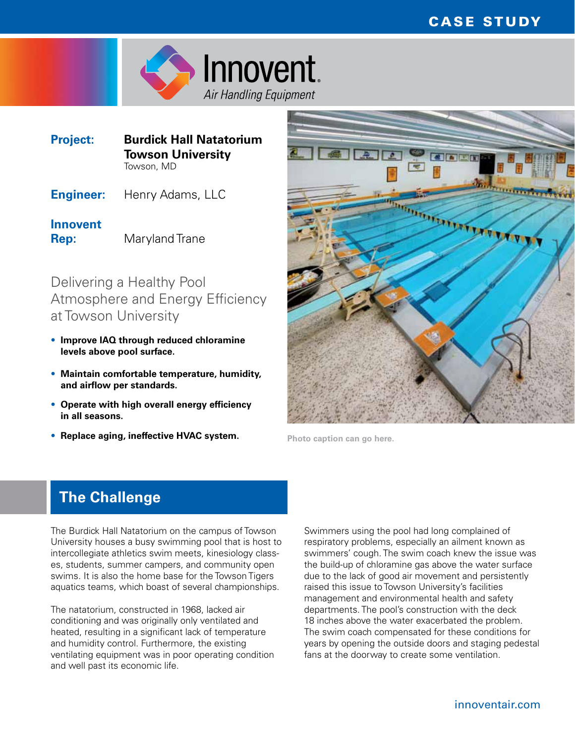

| <b>Project:</b> | <b>Burdick Hall Natatorium</b> |
|-----------------|--------------------------------|
|                 | <b>Towson University</b>       |
|                 | Towson, MD                     |

**Engineer:** Henry Adams, LLC

**Innovent Rep:** Maryland Trane

Delivering a Healthy Pool Atmosphere and Energy Efficiency at Towson University

- **Improve IAQ through reduced chloramine levels above pool surface.**
- **Maintain comfortable temperature, humidity, and airflow per standards.**
- **Operate with high overall energy efficiency in all seasons.**
- **Replace aging, ineffective HVAC system. Photo caption can go here.**



## **The Challenge**

The Burdick Hall Natatorium on the campus of Towson University houses a busy swimming pool that is host to intercollegiate athletics swim meets, kinesiology classes, students, summer campers, and community open swims. It is also the home base for the Towson Tigers aquatics teams, which boast of several championships.

The natatorium, constructed in 1968, lacked air conditioning and was originally only ventilated and heated, resulting in a significant lack of temperature and humidity control. Furthermore, the existing ventilating equipment was in poor operating condition and well past its economic life.

Swimmers using the pool had long complained of respiratory problems, especially an ailment known as swimmers' cough. The swim coach knew the issue was the build-up of chloramine gas above the water surface due to the lack of good air movement and persistently raised this issue to Towson University's facilities management and environmental health and safety departments. The pool's construction with the deck 18 inches above the water exacerbated the problem. The swim coach compensated for these conditions for years by opening the outside doors and staging pedestal fans at the doorway to create some ventilation.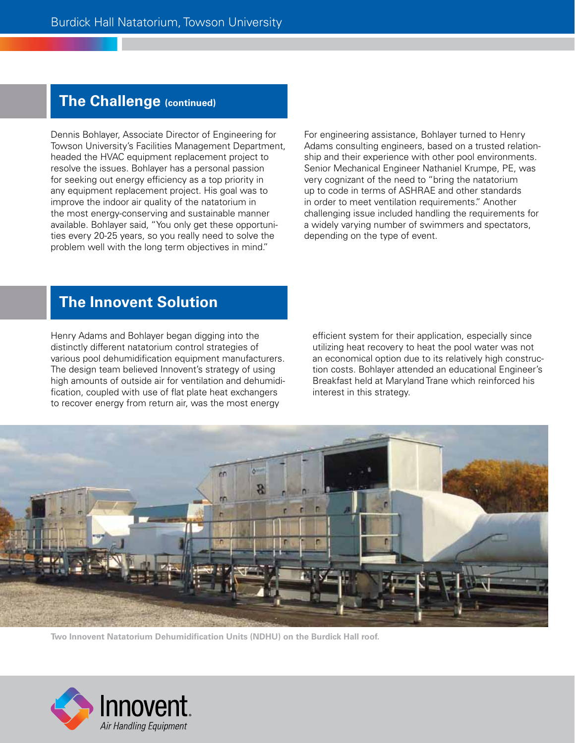### **The Challenge (continued)**

Dennis Bohlayer, Associate Director of Engineering for Towson University's Facilities Management Department, headed the HVAC equipment replacement project to resolve the issues. Bohlayer has a personal passion for seeking out energy efficiency as a top priority in any equipment replacement project. His goal was to improve the indoor air quality of the natatorium in the most energy-conserving and sustainable manner available. Bohlayer said, "You only get these opportunities every 20-25 years, so you really need to solve the problem well with the long term objectives in mind."

For engineering assistance, Bohlayer turned to Henry Adams consulting engineers, based on a trusted relationship and their experience with other pool environments. Senior Mechanical Engineer Nathaniel Krumpe, PE, was very cognizant of the need to "bring the natatorium up to code in terms of ASHRAE and other standards in order to meet ventilation requirements." Another challenging issue included handling the requirements for a widely varying number of swimmers and spectators, depending on the type of event.

### **The Innovent Solution**

Henry Adams and Bohlayer began digging into the distinctly different natatorium control strategies of various pool dehumidification equipment manufacturers. The design team believed Innovent's strategy of using high amounts of outside air for ventilation and dehumidification, coupled with use of flat plate heat exchangers to recover energy from return air, was the most energy

efficient system for their application, especially since utilizing heat recovery to heat the pool water was not an economical option due to its relatively high construction costs. Bohlayer attended an educational Engineer's Breakfast held at Maryland Trane which reinforced his interest in this strategy.



**Two Innovent Natatorium Dehumidification Units (NDHU) on the Burdick Hall roof.**

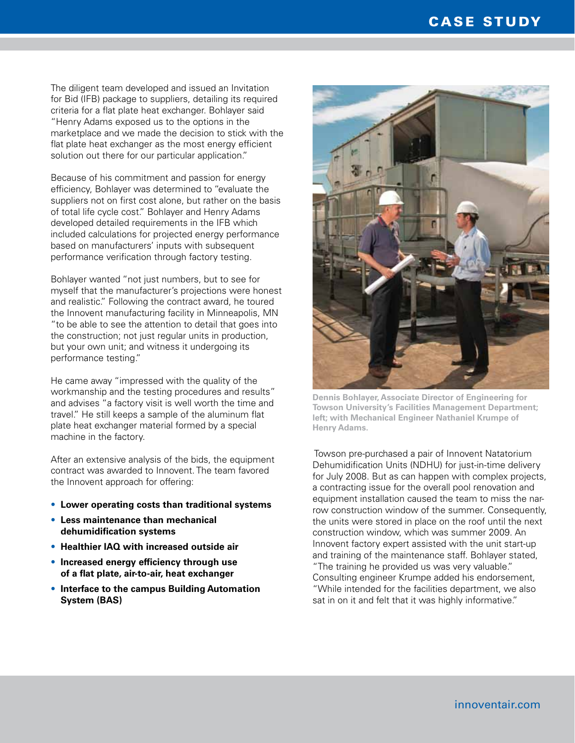The diligent team developed and issued an Invitation for Bid (IFB) package to suppliers, detailing its required criteria for a flat plate heat exchanger. Bohlayer said "Henry Adams exposed us to the options in the marketplace and we made the decision to stick with the flat plate heat exchanger as the most energy efficient solution out there for our particular application."

Because of his commitment and passion for energy efficiency, Bohlayer was determined to "evaluate the suppliers not on first cost alone, but rather on the basis of total life cycle cost." Bohlayer and Henry Adams developed detailed requirements in the IFB which included calculations for projected energy performance based on manufacturers' inputs with subsequent performance verification through factory testing.

Bohlayer wanted "not just numbers, but to see for myself that the manufacturer's projections were honest and realistic." Following the contract award, he toured the Innovent manufacturing facility in Minneapolis, MN "to be able to see the attention to detail that goes into the construction; not just regular units in production, but your own unit; and witness it undergoing its performance testing."

He came away "impressed with the quality of the workmanship and the testing procedures and results" and advises "a factory visit is well worth the time and travel." He still keeps a sample of the aluminum flat plate heat exchanger material formed by a special machine in the factory.

After an extensive analysis of the bids, the equipment contract was awarded to Innovent. The team favored the Innovent approach for offering:

- **Lower operating costs than traditional systems**
- **Less maintenance than mechanical dehumidification systems**
- **Healthier IAQ with increased outside air**
- **Increased energy efficiency through use of a flat plate, air-to-air, heat exchanger**
- **Interface to the campus Building Automation System (BAS)**



**Dennis Bohlayer, Associate Director of Engineering for Towson University's Facilities Management Department; left; with Mechanical Engineer Nathaniel Krumpe of Henry Adams.**

Towson pre-purchased a pair of Innovent Natatorium Dehumidification Units (NDHU) for just-in-time delivery for July 2008. But as can happen with complex projects, a contracting issue for the overall pool renovation and equipment installation caused the team to miss the narrow construction window of the summer. Consequently, the units were stored in place on the roof until the next construction window, which was summer 2009. An Innovent factory expert assisted with the unit start-up and training of the maintenance staff. Bohlayer stated, "The training he provided us was very valuable." Consulting engineer Krumpe added his endorsement, "While intended for the facilities department, we also sat in on it and felt that it was highly informative."